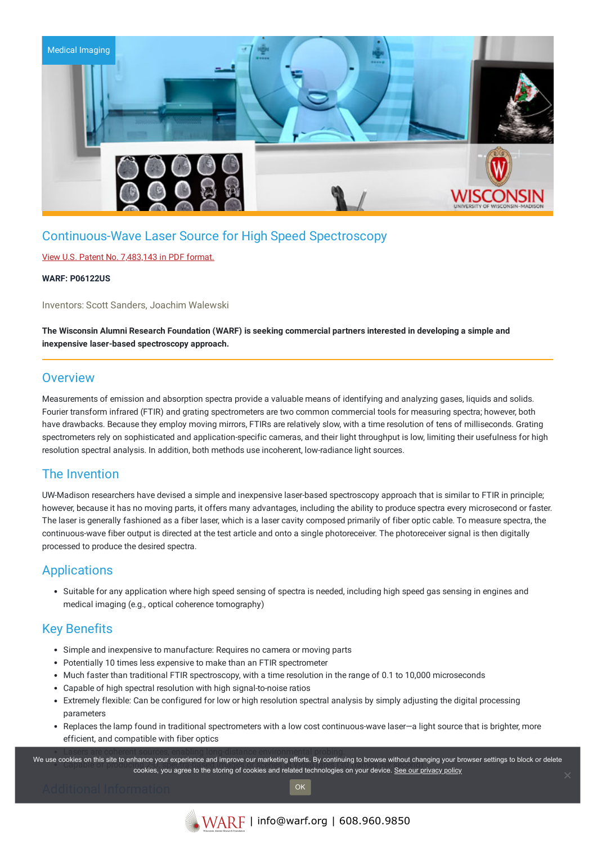

# Continuous-Wave Laser Source for High Speed Spectroscopy

### View U.S. Patent No. [7,483,143](https://www.warf.org/wp-content/uploads/technologies/ipstatus/P06122US.PDF) in PDF format.

#### **WARF: P06122US**

Inventors: Scott Sanders, Joachim Walewski

The Wisconsin Alumni Research Foundation (WARF) is seeking commercial partners interested in developing a simple and **inexpensive laser-based spectroscopy approach.**

### **Overview**

Measurements of emission and absorption spectra provide a valuable means of identifying and analyzing gases, liquids and solids. Fourier transform infrared (FTIR) and grating spectrometers are two common commercial tools for measuring spectra; however, both have drawbacks. Because they employ moving mirrors, FTIRs are relatively slow, with a time resolution of tens of milliseconds. Grating spectrometers rely on sophisticated and application-specific cameras, and their light throughput is low, limiting their usefulness for high resolution spectral analysis. In addition, both methods use incoherent, low-radiance light sources.

## The Invention

UW-Madison researchers have devised a simple and inexpensive laser-based spectroscopy approach that is similar to FTIR in principle; however, because it has no moving parts, it offers many advantages, including the ability to produce spectra every microsecond or faster. The laser is generally fashioned as a fiber laser, which is a laser cavity composed primarily of fiber optic cable. To measure spectra, the continuous-wave fiber output is directed at the test article and onto a single photoreceiver. The photoreceiver signal is then digitally processed to produce the desired spectra.

### Applications

Suitable for any application where high speed sensing of spectra is needed, including high speed gas sensing in engines and medical imaging (e.g., optical coherence tomography)

## Key Benefits

- Simple and inexpensive to manufacture: Requires no camera or moving parts
- Potentially 10 times less expensive to make than an FTIR spectrometer
- Much faster than traditional FTIR spectroscopy, with a time resolution in the range of 0.1 to 10,000 microseconds
- Capable of high spectral resolution with high signal-to-noise ratios
- Extremely flexible: Can be configured for low or high resolution spectral analysis by simply adjusting the digital processing parameters
- Replaces the lamp found in traditional spectrometers with a low cost continuous-wave laser—a light source that is brighter, more efficient, and compatible with fiber optics

We use cookies on this site to enhance your experience and improve our marketing efforts. By continuing to browse without changing your browser settings to block or delete contes on this site to emiance your experience and improve our maneurity enore. By continuing to browse without changing your browse cookies, you agree to the storing of cookies and related technologies on your device. <u>Se</u>